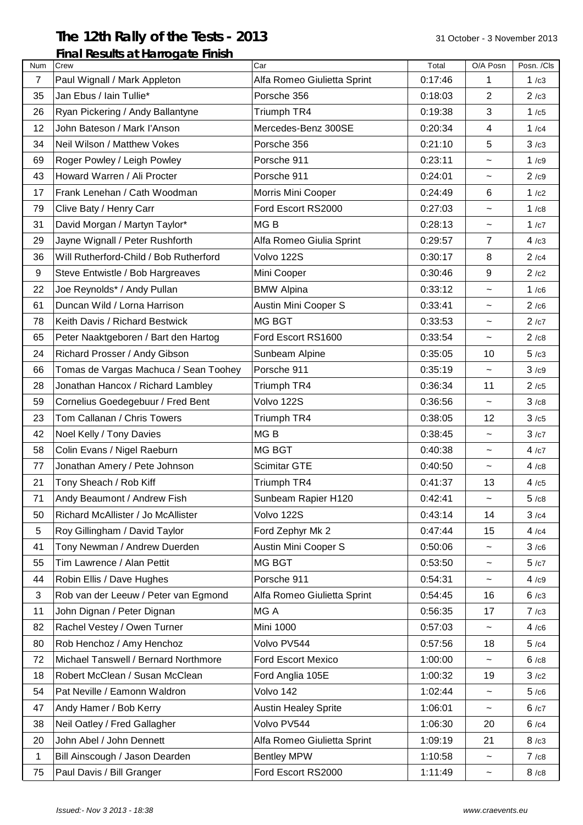## **The 12th Rally of the Tests - 2013** 31 October - 3 November 2013

## **Final Results at Harrogate Finish** Num Crew Car Total O/A Posn Posn. /Cls 7 Paul Wignall / Mark Appleton Alfa Romeo Giulietta Sprint | 0:17:46 | 1 | 1 /c3 35 | Jan Ebus / Iain Tullie\* | Porsche 356 | 0:18:03 | 2 | 2 / c3 26 Ryan Pickering / Andy Ballantyne TR4 1 0:19:38 3 1 1/c5 12 John Bateson / Mark I'Anson Mercedes-Benz 300SE 10:20:34 | 4 | 1/c4 34 | Neil Wilson / Matthew Vokes | Porsche 356  $\vert$  0:21:10 | 5 | 3  $\vert$  3  $\vert$ 69 Roger Powley / Leigh Powley Porsche 911 0:23:11 ~ 1 /c9 43 Howard Warren / Ali Procter Porsche 911 **Porsche 911** 0:24:01  $\vert$   $\sim$   $\vert$  2 /c9 17 Frank Lenehan / Cath Woodman Morris Mini Cooper 10:24:49 | 6 | 1/c2 79 Clive Baty / Henry Carr Ford Escort RS2000 8:27:03  $\vert \sim \vert 1 / c8 \vert$ 31 | David Morgan / Martyn Taylor\* | MG B  $\vert$  0:28:13 |  $\sim$  | 1 /c7 29 | Jayne Wignall / Peter Rushforth | Alfa Romeo Giulia Sprint | 0:29:57 | 7 | 4 /c3 36 Will Rutherford-Child / Bob Rutherford Volvo 122S 0:30:17 8 2 /c4 9 Steve Entwistle / Bob Hargreaves Mini Cooper 19 0:30:46 9 2 /c2 22  $\vert$ Joe Reynolds\* / Andy Pullan  $\vert$ BMW Alpina  $\vert$  0:33:12  $\vert$   $\sim$  1 /c6 61 | Duncan Wild / Lorna Harrison | Austin Mini Cooper S |  $\,$  0:33:41 |  $\,$   $\,$  | 2 /c6 78 Keith Davis / Richard Bestwick MG BGT And MG BGT And COS3:53 Note 2 /c7 65 Peter Naaktgeboren / Bart den Hartog Ford Escort RS1600 0:33:54 | ~ | 2 /c8 24 Richard Prosser / Andy Gibson Sunbeam Alpine 10:35:05 10 10 5 /c3 66 Tomas de Vargas Machuca / Sean Toohey Porsche 911  $\vert$  0:35:19  $\vert$   $\sim$   $\vert$  3/c9 28 Jonathan Hancox / Richard Lambley Triumph TR4  $\vert$  0:36:34 | 11 | 2 /c5 59 Cornelius Goedegebuur / Fred Bent | Volvo 122S | 0:36:56 | ~ | 3 /c8 23 Tom Callanan / Chris Towers Triumph TR4 10:38:05 12 3/c5 42 | Noel Kelly / Tony Davies MG B  $\vert$  MG B  $\vert$  0:38:45  $\vert$   $\sim$   $\vert$  3 /c7 58 | Colin Evans / Nigel Raeburn | MG BGT | 0:40:38 | ~ | 4 /c7 77 Jonathan Amery / Pete Johnson Scimitar GTE  $\vert$  0:40:50  $\vert$   $\sim$   $\vert$  4 /c8 21 Tony Sheach / Rob Kiff Triumph TR4 10:41:37 13 4 /c5 71 Andy Beaumont / Andrew Fish Sunbeam Rapier H120  $\vert$  0:42:41  $\vert$   $\sim$  5 /c8 50 Richard McAllister / Jo McAllister Volvo 122S 0:43:14 14 3 /c4 5 Roy Gillingham / David Taylor Ford Zephyr Mk 2 0:47:44 15 4 /c4 41 | Tony Newman / Andrew Duerden | Austin Mini Cooper S | 0:50:06 | ~ | 3 /c6 55 Tim Lawrence / Alan Pettit MG BGT 10:53:50  $\sim$  5/c7 44 Robin Ellis / Dave Hughes | Porsche 911 | 0:54:31 | ~ | 4 /c9 3 Rob van der Leeuw / Peter van Egmond Alfa Romeo Giulietta Sprint 0:54:45 16 6 /c3 11 John Dignan / Peter Dignan MG A 10:56:35 17 7 /c3 82 Rachel Vestey / Owen Turner Mini 1000 0:57:03  $\sim$  4/c6 80 Rob Henchoz / Amy Henchoz  $\vert$  Volvo PV544  $\vert$  0:57:56  $\vert$  18  $\vert$  5 /c4 72 Michael Tanswell / Bernard Northmore Ford Escort Mexico 1:00:00  $\sim$  6/c8 18 Robert McClean / Susan McClean Ford Anglia 105E 1:00:32 | 19 | 3/c2 54 Pat Neville / Eamonn Waldron  $\vert$  Volvo 142  $\vert$  1:02:44  $\vert$   $\sim$   $\vert$  5/c6 47 Andy Hamer / Bob Kerry Austin Healey Sprite 1:06:01 |  $\sim$  | 6 /c7 38 Neil Oatley / Fred Gallagher  $\vert$  Volvo PV544 1:06:30  $\vert$  20  $\vert$  6 /c4 20 John Abel / John Dennett Alfa Romeo Giulietta Sprint 1:09:19 | 21 | 8/c3 1 Bill Ainscough / Jason Dearden Bentley MPW 1:10:58  $\vert$  ~  $\vert$  7/c8 75 Paul Davis / Bill Granger Ford Escort RS2000 1:11:49  $\vert$   $\sim$  8 /c8